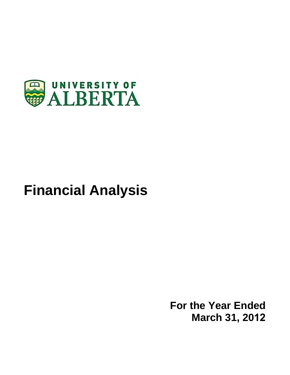

# **Financial Analysis**

**For the Year Ended March 31, 2012**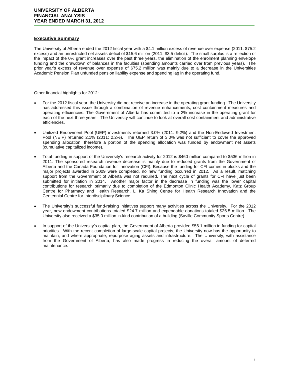### **Executive Summary**

The University of Alberta ended the 2012 fiscal year with a \$4.1 million excess of revenue over expense (2011: \$75.2 excess) and an unrestricted net assets deficit of \$15.6 million (2011: \$3.5 deficit). The small surplus is a reflection of the impact of the 0% grant increases over the past three years, the elimination of the enrolment planning envelope funding and the drawdown of balances in the faculties (spending amounts carried over from previous years). The prior year's excess of revenue over expense of \$75.2 million was mainly due to a decrease in the Universities Academic Pension Plan unfunded pension liability expense and spending lag in the operating fund.

Other financial highlights for 2012:

- For the 2012 fiscal year, the University did not receive an increase in the operating grant funding. The University has addressed this issue through a combination of revenue enhancements, cost containment measures and operating efficiencies. The Government of Alberta has committed to a 2% increase in the operating grant for each of the next three years. The University will continue to look at overall cost containment and administrative efficiencies.
- Unitized Endowment Pool (UEP) investments returned 3.0% (2011: 9.2%) and the Non-Endowed Investment Pool (NEIP) returned 2.1% (2011: 2.2%). The UEP return of 3.0% was not sufficient to cover the approved spending allocation; therefore a portion of the spending allocation was funded by endowment net assets (cumulative capitalized income).
- Total funding in support of the University's research activity for 2012 is \$460 million compared to \$536 million in 2011. The sponsored research revenue decrease is mainly due to reduced grants from the Government of Alberta and the Canada Foundation for Innovation (CFI). Because the funding for CFI comes in blocks and the major projects awarded in 2009 were completed, no new funding occurred in 2012. As a result, matching support from the Government of Alberta was not required. The next cycle of grants for CFI have just been submitted for initiation in 2014. Another major factor in the decrease in funding was the lower capital contributions for research primarily due to completion of the Edmonton Clinic Health Academy, Katz Group Centre for Pharmacy and Health Research, Li Ka Shing Centre for Health Research Innovation and the Centennial Centre for Interdisciplinary Science.
- The University's successful fund-raising initiatives support many activities across the University. For the 2012 year, new endowment contributions totaled \$24.7 million and expendable donations totaled \$26.5 million. The University also received a \$35.0 million in-kind contribution of a building (Saville Community Sports Centre).
- In support of the University's capital plan, the Government of Alberta provided \$56.1 million in funding for capital priorities. With the recent completion of large-scale capital projects, the University now has the opportunity to maintain, and where appropriate, repurpose aging assets and infrastructure. The University, with assistance from the Government of Alberta, has also made progress in reducing the overall amount of deferred maintenance.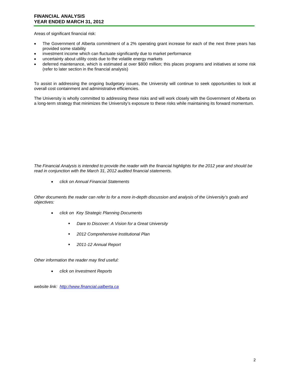Areas of significant financial risk:

- The Government of Alberta commitment of a 2% operating grant increase for each of the next three years has provided some stability
- investment income which can fluctuate significantly due to market performance
- uncertainty about utility costs due to the volatile energy markets
- deferred maintenance, which is estimated at over \$800 million; this places programs and initiatives at some risk (refer to later section in the financial analysis)

To assist in addressing the ongoing budgetary issues, the University will continue to seek opportunities to look at overall cost containment and administrative efficiencies.

The University is wholly committed to addressing these risks and will work closely with the Government of Alberta on a long-term strategy that minimizes the University's exposure to these risks while maintaining its forward momentum.

*The Financial Analysis is intended to provide the reader with the financial highlights for the 2012 year and should be read in conjunction with the March 31, 2012 audited financial statements.* 

• *click on Annual Financial Statements*

*Other documents the reader can refer to for a more in-depth discussion and analysis of the University's goals and objectives:* 

- *click on Key Strategic Planning Documents*
	- *Dare to Discover: A Vision for a Great University*
	- *2012 Comprehensive Institutional Plan*
	- *2011-12 Annual Report*

*Other information the reader may find useful:*

• *click on Investment Reports*

*website link: http://www.financial.ualberta.ca*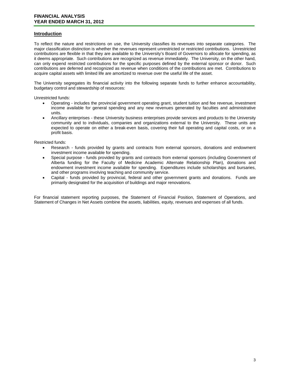# **Introduction**

To reflect the nature and restrictions on use, the University classifies its revenues into separate categories. The major classification distinction is whether the revenues represent unrestricted or restricted contributions. Unrestricted contributions are flexible in that they are available to the University's Board of Governors to allocate for spending, as it deems appropriate. Such contributions are recognized as revenue immediately. The University, on the other hand, can only expend restricted contributions for the specific purposes defined by the external sponsor or donor. Such contributions are deferred and recognized as revenue when conditions of the contributions are met. Contributions to acquire capital assets with limited life are amortized to revenue over the useful life of the asset.

The University segregates its financial activity into the following separate funds to further enhance accountability, budgetary control and stewardship of resources:

Unrestricted funds:

- Operating includes the provincial government operating grant, student tuition and fee revenue, investment income available for general spending and any new revenues generated by faculties and administrative units.
- Ancillary enterprises these University business enterprises provide services and products to the University community and to individuals, companies and organizations external to the University. These units are expected to operate on either a break-even basis, covering their full operating and capital costs, or on a profit basis.

Restricted funds:

- Research funds provided by grants and contracts from external sponsors, donations and endowment investment income available for spending.
- Special purpose funds provided by grants and contracts from external sponsors (including Government of Alberta funding for the Faculty of Medicine Academic Alternate Relationship Plan), donations and endowment investment income available for spending. Expenditures include scholarships and bursaries, and other programs involving teaching and community service.
- Capital funds provided by provincial, federal and other government grants and donations. Funds are primarily designated for the acquisition of buildings and major renovations.

For financial statement reporting purposes, the Statement of Financial Position, Statement of Operations, and Statement of Changes in Net Assets combine the assets, liabilities, equity, revenues and expenses of all funds.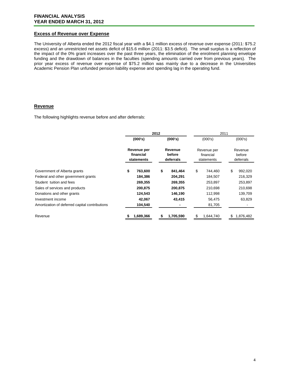#### **Excess of Revenue over Expense**

The University of Alberta ended the 2012 fiscal year with a \$4.1 million excess of revenue over expense (2011: \$75.2 excess) and an unrestricted net assets deficit of \$15.6 million (2011: \$3.5 deficit). The small surplus is a reflection of the impact of the 0% grant increases over the past three years, the elimination of the enrolment planning envelope funding and the drawdown of balances in the faculties (spending amounts carried over from previous years). The prior year excess of revenue over expense of \$75.2 million was mainly due to a decrease in the Universities Academic Pension Plan unfunded pension liability expense and spending lag in the operating fund.

# **Revenue**

The following highlights revenue before and after deferrals:

|                                                | 2012                                   |           |                                | 2011      |                                        |           |                                |           |
|------------------------------------------------|----------------------------------------|-----------|--------------------------------|-----------|----------------------------------------|-----------|--------------------------------|-----------|
|                                                |                                        | (000's)   |                                | (000's)   |                                        | (000's)   |                                | (000's)   |
|                                                | Revenue per<br>financial<br>statements |           | Revenue<br>before<br>deferrals |           | Revenue per<br>financial<br>statements |           | Revenue<br>before<br>deferrals |           |
| Government of Alberta grants                   | \$                                     | 763,600   | \$                             | 841,464   | \$                                     | 744,460   | \$                             | 992,020   |
| Federal and other government grants            |                                        | 184,386   |                                | 204,291   |                                        | 184,507   |                                | 216,329   |
| Student tuition and fees                       |                                        | 269,355   |                                | 269,355   |                                        | 253,897   |                                | 253,897   |
| Sales of services and products                 |                                        | 200,875   |                                | 200,875   |                                        | 210,698   |                                | 210,698   |
| Donations and other grants                     |                                        | 124,543   |                                | 146,190   |                                        | 112,998   |                                | 139,709   |
| Investment income                              |                                        | 42,067    |                                | 43,415    |                                        | 56,475    |                                | 63,829    |
| Amortization of deferred capital contributions |                                        | 104,540   |                                |           |                                        | 81,705    |                                |           |
| Revenue                                        |                                        | 1,689,366 | S                              | 1,705,590 | S                                      | 1,644,740 | S                              | 1,876,482 |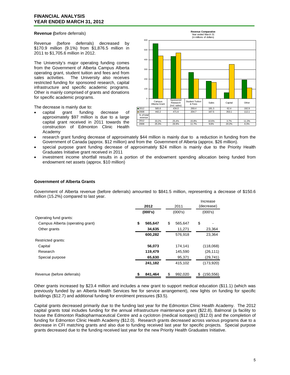#### **Revenue (**before deferrals)

Revenue (before deferrals) decreased by \$170.9 million (9.1%) from \$1,876.5 million in 2011 to \$1,705.6 million in 2012.

The University's major operating funding comes from the Government of Alberta Campus Alberta operating grant, student tuition and fees and from<br>sales activities. The University also receives The University also receives restricted funding for sponsored research, capital infrastructure and specific academic programs. Other is mainly comprised of grants and donations for specific academic programs.

The decrease is mainly due to:

• capital grant funding decrease of approximately \$97 million is due to a large capital grant received in 2011 towards the construction of Edmonton Clinic Health Academy



- research grant funding decrease of approximately \$44 million is mainly due to a reduction in funding from the Government of Canada (approx. \$12 million) and from the Government of Alberta (approx. \$26 million).
- special purpose grant funding decrease of approximately \$24 million is mainly due to the Priority Health Graduates Initiative grant received in 2011
- investment income shortfall results in a portion of the endowment spending allocation being funded from endowment net assets (approx. \$10 million)

#### **Government of Alberta Grants**

Government of Alberta revenue (before deferrals) amounted to \$841.5 million, representing a decrease of \$150.6 million (15.2%) compared to last year.

|                                  |         |         |         |         |            | Increase   |
|----------------------------------|---------|---------|---------|---------|------------|------------|
|                                  | 2012    |         | 2011    |         | (decrease) |            |
|                                  | (000's) |         | (000's) |         | (000's)    |            |
| Operating fund grants:           |         |         |         |         |            |            |
| Campus Alberta (operating grant) | \$      | 565,647 | \$      | 565,647 | \$         |            |
| Other grants                     |         | 34,635  |         | 11,271  |            | 23,364     |
|                                  |         | 600,282 |         | 576,918 |            | 23,364     |
| Restricted grants:               |         |         |         |         |            |            |
| Capital                          |         | 56,073  |         | 174,141 |            | (118,068)  |
| Research                         |         | 119,479 |         | 145,590 |            | (26, 111)  |
| Special purpose                  |         | 65,630  |         | 95,371  |            | (29, 741)  |
|                                  |         | 241,182 |         | 415,102 |            | (173, 920) |
| Revenue (before deferrals)       |         | 841.464 | \$      | 992.020 | S          | (150, 556) |

Other grants increased by \$23.4 million and includes a new grant to support medical education (\$11.1) (which was previously funded by an Alberta Health Services fee for service arrangement), new lights on funding for specific buildings (\$12.7) and additional funding for enrolment pressures (\$3.5).

Capital grants decreased primarily due to the funding last year for the Edmonton Clinic Health Academy. The 2012 capital grants total includes funding for the annual infrastructure maintenance grant (\$22.8), Balmoral (a facility to house the Edmonton Radiopharmaceutical Centre and a cyclotron (medical isotopes)) (\$12.0) and the completion of funding for Edmonton Clinic Health Academy (\$12.0). Research grants decreased across various programs due to a decrease in CFI matching grants and also due to funding received last year for specific projects. Special purpose grants decreased due to the funding received last year for the new Priority Health Graduates Initiative.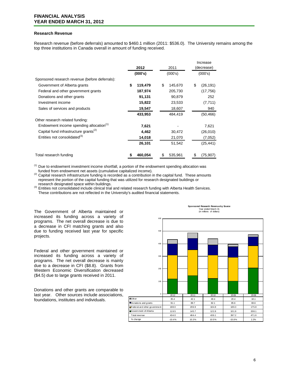#### **Research Revenue**

Research revenue (before deferrals) amounted to \$460.1 million (2011: \$536.0). The University remains among the top three institutions in Canada overall in amount of funding received.

|                                                     |               |               | Increase        |
|-----------------------------------------------------|---------------|---------------|-----------------|
|                                                     | 2012          | 2011          | (decrease)      |
|                                                     | (000's)       | (000's)       | (000's)         |
| Sponsored research revenue (before deferrals):      |               |               |                 |
| Government of Alberta grants                        | \$<br>119,479 | \$<br>145,670 | \$<br>(26, 191) |
| Federal and other government grants                 | 187,974       | 205,730       | (17, 756)       |
| Donations and other grants                          | 91,131        | 90,879        | 252             |
| Investment income                                   | 15,822        | 23,533        | (7, 711)        |
| Sales of services and products                      | 19,547        | 18,607        | 940             |
|                                                     | 433,953       | 484,419       | (50, 466)       |
| Other research related funding:                     |               |               |                 |
| Endowment income spending allocation <sup>(1)</sup> | 7,621         |               | 7,621           |
| Capital fund infrastructure grants <sup>(2)</sup>   | 4,462         | 30,472        | (26,010)        |
| Entities not consolidated <sup>(3)</sup>            | 14,018        | 21,070        | (7,052)         |
|                                                     | 26,101        | 51,542        | (25, 441)       |
| Total research funding                              | 460,054       | 535,961<br>\$ | (75, 907)<br>\$ |

<sup>(1)</sup> Due to endowment investment income shortfall, a portion of the endowment spending allocation was funded from endowment net assets (cumulative capitalized income).

<sup>(2)</sup> Capital research infrastructure funding is recorded as a contribution in the capital fund. These amounts represent the portion of the capital funding that was utilized for research designated buildings or research designated space within buildings.

(3) Entities not consolidated include clinical trial and related research funding with Alberta Health Services. These contributions are not reflected in the University's audited financial statements.

The Government of Alberta maintained or increased its funding across a variety of programs. The net overall decrease is due to a decrease in CFI matching grants and also due to funding received last year for specific projects.

Federal and other government maintained or increased its funding across a variety of programs. The net overall decrease is mainly due to a decrease in CFI (\$8.8). Grants from Western Economic Diversification decreased (\$4.5) due to large grants received in 2011.

Donations and other grants are comparable to last year. Other sources include associations, foundations, institutes and individuals.



**Sponsored Research Revenue by Source** Year ended March 31 (in millions of dollars)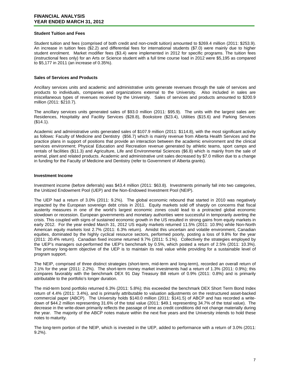#### **Student Tuition and Fees**

Student tuition and fees (comprised of both credit and non-credit tuition) amounted to \$269.4 million (2011: \$253.9). An increase in tuition fees (\$2.2) and differential fees for international students (\$7.0) were mainly due to higher student enrolment. Market modifier fees (\$3.4) were implemented in 2012 for specific programs. The tuition fees (instructional fees only) for an Arts or Science student with a full time course load in 2012 were \$5,195 as compared to \$5,177 in 2011 (an increase of 0.35%).

#### **Sales of Services and Products**

Ancillary services units and academic and administrative units generate revenues through the sale of services and products to individuals, companies and organizations external to the University. Also included in sales are miscellaneous types of revenues received by the University. Sales of services and products amounted to \$200.9 million (2011: \$210.7).

The ancillary services units generated sales of \$93.0 million (2011: \$95.9). The units with the largest sales are: Residences, Hospitality and Facility Services (\$28.8), Bookstore (\$23.4), Utilities (\$15.6) and Parking Services (\$14.1).

Academic and administrative units generated sales of \$107.9 million (2011: \$114.8), with the most significant activity as follows: Faculty of Medicine and Dentistry (\$56.7) which is mainly revenue from Alberta Health Services and the practice plans in support of positions that provide an interaction between the academic environment and the clinical services environment; Physical Education and Recreation revenue generated by athletic teams, sport camps and rentals of facilities (\$11.3) and Agriculture, Life and Environmental Sciences (\$6.8) which is mainly from the sale of animal, plant and related products. Academic and administrative unit sales decreased by \$7.0 million due to a change in funding for the Faculty of Medicine and Dentistry (refer to Government of Alberta grants).

#### **Investment Income**

Investment income (before deferrals) was \$43.4 million (2011: \$63.8). Investments primarily fall into two categories, the Unitized Endowment Pool (UEP) and the Non-Endowed Investment Pool (NEIP).

The UEP had a return of 3.0% (2011: 9.2%). The global economic rebound that started in 2010 was negatively impacted by the European sovereign debt crisis in 2011. Equity markets sold off sharply on concerns that fiscal austerity measures in one of the world's largest economic zones could lead to a protracted global economic slowdown or recession. European governments and monetary authorities were successful in temporarily averting the crisis. This coupled with signs of sustained economic growth in the US resulted in strong gains from equity markets in early 2012. For the year ended March 31, 2012 US equity markets returned 11.5% (2011: 10.9%) while Non-North American equity markets lost 2.7% (2011: 6.3% return). Amidst this uncertain and volatile environment, Canadian equities, dominated by the highly cyclical resource sectors, performed poorly, posting a loss of 9.8% for the year (2011: 20.4% return). Canadian fixed income returned 9.7% (2011: 5.1%). Collectively the strategies employed by the UEP's managers out-performed the UEP's benchmark by 0.5%, which posted a return of 2.5% (2011: 10.3%). The primary long-term objective of the UEP is to maintain its real value while providing for a sustainable level of program support.

The NEIP, comprised of three distinct strategies (short-term, mid-term and long-term), recorded an overall return of 2.1% for the year (2011: 2.2%). The short-term money market investments had a return of 1.3% (2011: 0.9%); this compares favorably with the benchmark DEX 91 Day Treasury Bill return of 0.9% (2011: 0.8%) and is primarily attributable to the portfolio's longer duration.

The mid-term bond portfolio returned 6.3% (2011: 5.8%); this exceeded the benchmark DEX Short Term Bond Index return of 4.4% (2011: 3.4%), and is primarily attributable to valuation adjustments on the restructured asset-backed commercial paper (ABCP). The University holds \$140.0 million (2011: \$141.5) of ABCP and has recorded a writedown of \$44.2 million representing 31.6% of the total value (2011: \$49.1 representing 34.7% of the total value). The decrease in the write-down primarily reflects the passage of time as credit conditions did not change materially during the year. The majority of the ABCP notes mature within the next five years and the University intends to hold these notes to maturity.

The long-term portion of the NEIP, which is invested in the UEP, added to performance with a return of 3.0% (2011: 9.2%).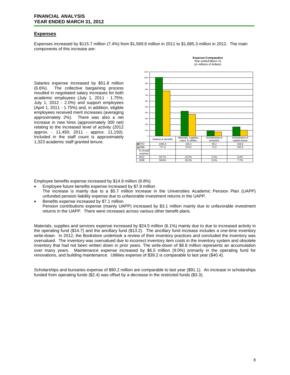#### **FINANCIAL ANALYSIS YEAR ENDED MARCH 31, 2012**

### **Expenses**

Expenses increased by \$115.7 million (7.4%) from \$1,569.6 million in 2011 to \$1,685.3 million in 2012. The main components of this increase are:

Salaries expense increased by \$51.8 million (6.6%). The collective bargaining process The collective bargaining process resulted in negotiated salary increases for both academic employees (July 1, 2011 - 1.75%; July 1, 2012 - 2.0%) and support employees (April 1, 2011 - 1.75%) and, in addition, eligible employees received merit increases (averaging approximately 2%). There was also a net increase in new hires (approximately 300 net) relating to the increased level of activity (2012 approx. - 11,450; 2011 - approx. 11,150). Included in the staff count is approximately 1,323 academic staff granted tenure.



**Expense Comparative**

Employee benefits expense increased by \$14.9 million (9.8%)

- Employee future benefits expense increased by \$7.8 million The increase is mainly due to a \$5.7 million increase in the Universities Academic Pension Plan (UAPP) unfunded pension liability expense due to unfavorable investment returns in the UAPP.
- Benefits expense increased by \$7.1 million Pension contributions expense (mainly UAPP) increased by \$3.1 million mainly due to unfavorable investment returns in the UAPP. There were increases across various other benefit plans.

Materials, supplies and services expense increased by \$24.5 million (6.1%) mainly due to due to increased activity in the operating fund (\$14.7) and the ancillary fund (\$13.2). The ancillary fund increase includes a one-time inventory write-down. In 2012, the Bookstore undertook a review of their inventory practices and concluded the inventory was overvalued. The inventory was overvalued due to incorrect inventory item costs in the inventory system and obsolete inventory that had not been written down in prior years. The write-down of \$8.8 million represents an accumulation over many years. Maintenance expense increased by \$6.5 million (9.0%) primarily in the operating fund for renovations, and building maintenance. Utilities expense of \$39.2 is comparable to last year (\$40.4).

Scholarships and bursaries expense of \$90.2 million are comparable to last year (\$91.1). An increase in scholarships funded from operating funds (\$2.4) was offset by a decrease in the restricted funds (\$3.3).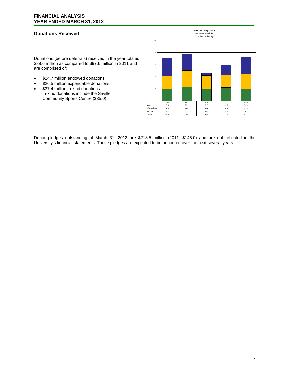# **Donations Received**

Donations (before deferrals) received in the year totaled \$88.6 million as compared to \$97.6 million in 2011 and are comprised of:

- \$24.7 million endowed donations
- \$26.5 million expendable donations
- \$37.4 million in-kind donations In-kind donations include the Saville Community Sports Centre (\$35.0)



Donor pledges outstanding at March 31, 2012 are \$218.5 million (2011: \$145.0) and are not reflected in the University's financial statements. These pledges are expected to be honoured over the next several years.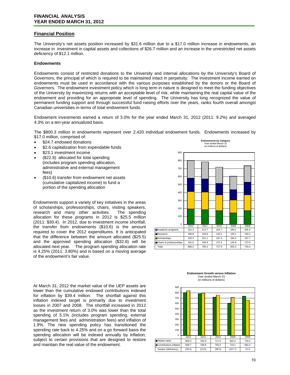# **Financial Position**

The University's net assets position increased by \$31.6 million due to a \$17.0 million increase in endowments, an increase in investment in capital assets and collections of \$26.7 million and an increase in the unrestricted net assets deficiency of \$12.1 million.

#### **Endowments**

Endowments consist of restricted donations to the University and internal allocations by the University's Board of Governors, the principal of which is required to be maintained intact in perpetuity. The investment income earned on endowments must be used in accordance with the various purposes established by the donors or the Board of Governors. The endowment investment policy which is long term in nature is designed to meet the funding objectives of the University by maximizing returns with an acceptable level of risk, while maintaining the real capital value of the endowment and providing for an appropriate level of spending. The University has long recognized the value of permanent funding support and through successful fund raising efforts over the years, ranks fourth overall amongst Canadian universities in terms of total endowment funds.

Endowment investments earned a return of 3.0% for the year ended March 31, 2012 (2011: 9.2%) and averaged 4.3% on a ten-year annualized basis.

The \$800.3 million in endowments represent over 2,420 individual endowment funds. Endowments increased by \$17.0 million, comprised of:

- \$24.7 endowed donations
- \$2.6 capitalization from expendable funds
- \$23.1 investment income
- (\$22.8) allocated for total spending (includes program spending allocation, administrative and external management fees)
- (\$10.6) transfer from endowment net assets (cumulative capitalized income) to fund a portion of the spending allocation

Endowments support a variety of key initiatives in the areas of scholarships, professorships, chairs, visiting speakers, research and many other activities. The spending allocation for these programs in 2012 is \$25.5 million (2011: \$30.4). In 2012, due to investment income shortfall, the transfer from endowments (\$10.6) is the amount required to cover the 2012 expenditures. It is anticipated that the difference between the amount allocated (\$25.5) and the approved spending allocation (\$32.8) will be allocated next year. The program spending allocation rate is 4.25% (2011: 3.80%) and is based on a moving average of the endowment's fair value.

At March 31, 2012 the market value of the UEP assets are lower than the cumulative endowed contributions indexed for inflation by \$39.4 million. The shortfall against this inflation indexed target is primarily due to investment losses in 2007 and 2008. The shortfall increased in 2012 as the investment return of 3.0% was lower than the total spending of 5.1% (includes program spending, external management fees and administration fees) and inflation of 1.9%. The new spending policy has transitioned the spending rate back to 4.25% and on a go forward basis the spending allocation will be indexed annually by inflation, subject to certain provisions that are designed to restore and maintain the real value of the endowment.



#### **Endowment Growth versus Inflation** Year ended March 31 (in millions of dollars)

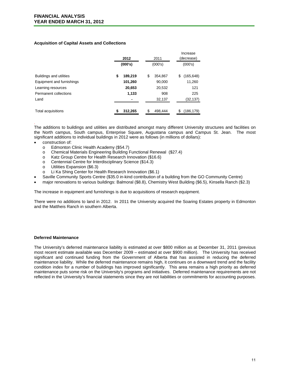#### **Acquisition of Capital Assets and Collections**

|                           | 2012          | 2011          | Increase<br>(decrease) |  |
|---------------------------|---------------|---------------|------------------------|--|
|                           | (000's)       | (000's)       | (000's)                |  |
| Buildings and utilities   | \$<br>189,219 | \$<br>354,867 | (165, 648)<br>\$       |  |
| Equipment and furnishings | 101,260       | 90,000        | 11,260                 |  |
| Learning resources        | 20,653        | 20,532        | 121                    |  |
| Permanent collections     | 1,133         | 908           | 225                    |  |
| Land                      |               | 32,137        | (32,137)               |  |
| <b>Total acquisitions</b> | 312,265       | \$<br>498.444 | (186, 179)             |  |

. The additions to buildings and utilities are distributed amongst many different University structures and facilities on the North campus, South campus, Enterprise Square, Augustana campus and Campus St. Jean. The most significant additions to individual buildings in 2012 were as follows (in millions of dollars):

- construction of:
	- o Edmonton Clinic Health Academy (\$54.7)
	- o Chemical Materials Engineering Building Functional Renewal (\$27.4)
	- o Katz Group Centre for Health Research Innovation (\$16.6)
	- o Centennial Centre for Interdisciplinary Science (\$14.3)<br>o Utilities Expansion (\$6.3)
	- Utilities Expansion (\$6.3)
	- o Li Ka Shing Center for Health Research Innovation (\$6.1)
- Saville Community Sports Centre (\$35.0 in-kind contribution of a building from the GO Community Centre)
- major renovations to various buildings: Balmoral (\$8.8), Chemistry West Building (\$6.5), Kinsella Ranch (\$2.3)

The increase in equipment and furnishings is due to acquisitions of research equipment.

There were no additions to land in 2012. In 2011 the University acquired the Soaring Estates property in Edmonton and the Mattheis Ranch in southern Alberta.

#### **Deferred Maintenance**

The University's deferred maintenance liability is estimated at over \$800 million as at December 31, 2011 (previous most recent estimate available was December 2009 – estimated at over \$900 million). The University has received significant and continued funding from the Government of Alberta that has assisted in reducing the deferred maintenance liability. While the deferred maintenance remains high, it continues on a downward trend and the facility condition index for a number of buildings has improved significantly. This area remains a high priority as deferred maintenance puts some risk on the University's programs and initiatives. Deferred maintenance requirements are not reflected in the University's financial statements since they are not liabilities or commitments for accounting purposes.